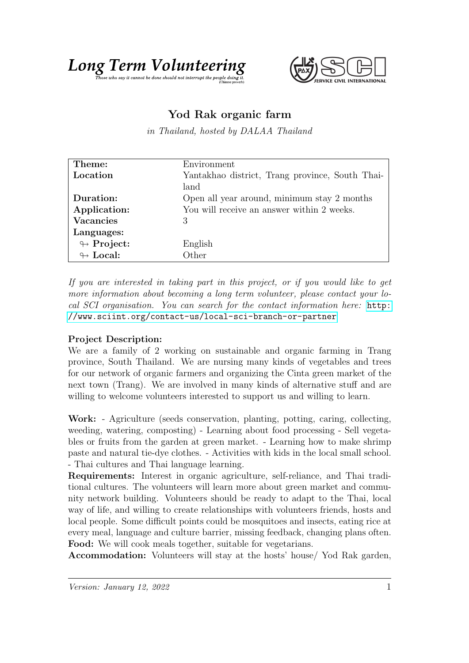



## Yod Rak organic farm

in Thailand, hosted by DALAA Thailand

| Theme:                     | Environment                                     |
|----------------------------|-------------------------------------------------|
| Location                   | Yantakhao district, Trang province, South Thai- |
|                            | land                                            |
| Duration:                  | Open all year around, minimum stay 2 months     |
| Application:               | You will receive an answer within 2 weeks.      |
| <b>Vacancies</b>           | 3                                               |
| Languages:                 |                                                 |
| $\leftrightarrow$ Project: | English                                         |
| $\leftrightarrow$ Local:   | Other                                           |

If you are interested in taking part in this project, or if you would like to get more information about becoming a long term volunteer, please contact your local SCI organisation. You can search for the contact information here: [http:](http://www.sciint.org/contact-us/local-sci-branch-or-partner) [//www.sciint.org/contact-us/local-sci-branch-or-partner](http://www.sciint.org/contact-us/local-sci-branch-or-partner)

## Project Description:

We are a family of 2 working on sustainable and organic farming in Trang province, South Thailand. We are nursing many kinds of vegetables and trees for our network of organic farmers and organizing the Cinta green market of the next town (Trang). We are involved in many kinds of alternative stuff and are willing to welcome volunteers interested to support us and willing to learn.

Work: - Agriculture (seeds conservation, planting, potting, caring, collecting, weeding, watering, composting) - Learning about food processing - Sell vegetables or fruits from the garden at green market. - Learning how to make shrimp paste and natural tie-dye clothes. - Activities with kids in the local small school. - Thai cultures and Thai language learning.

Requirements: Interest in organic agriculture, self-reliance, and Thai traditional cultures. The volunteers will learn more about green market and community network building. Volunteers should be ready to adapt to the Thai, local way of life, and willing to create relationships with volunteers friends, hosts and local people. Some difficult points could be mosquitoes and insects, eating rice at every meal, language and culture barrier, missing feedback, changing plans often. Food: We will cook meals together, suitable for vegetarians.

Accommodation: Volunteers will stay at the hosts' house/ Yod Rak garden,